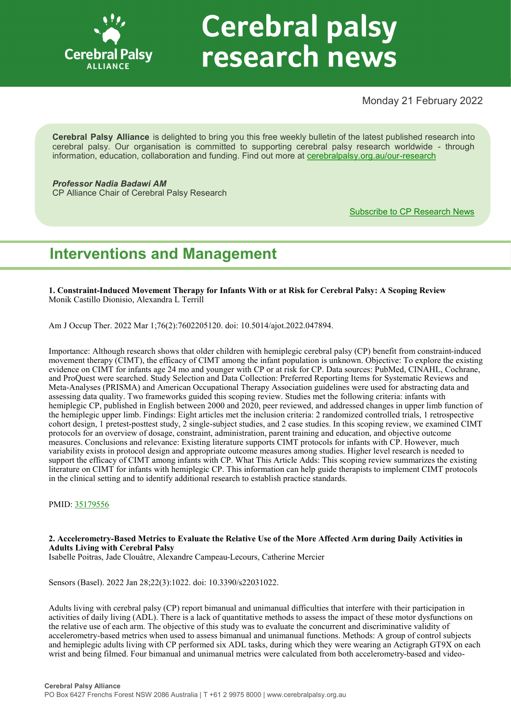

# **Cerebral palsy** research news

### Monday 21 February 2022

**Cerebral Palsy Alliance** is delighted to bring you this free weekly bulletin of the latest published research into cerebral palsy. Our organisation is committed to supporting cerebral palsy research worldwide - through information, education, collaboration and funding. Find out more at [cerebralpalsy.org.au/our](https://cerebralpalsy.org.au/our-research/)-research

*Professor Nadia Badawi AM* CP Alliance Chair of Cerebral Palsy Research

[Subscribe to CP Research News](https://cerebralpalsy.org.au/our-research/get-involved-research/cp-research-newsletters/)

# **Interventions and Management**

**1. Constraint-Induced Movement Therapy for Infants With or at Risk for Cerebral Palsy: A Scoping Review** Monik Castillo Dionisio, Alexandra L Terrill

Am J Occup Ther. 2022 Mar 1;76(2):7602205120. doi: 10.5014/ajot.2022.047894.

Importance: Although research shows that older children with hemiplegic cerebral palsy (CP) benefit from constraint-induced movement therapy (CIMT), the efficacy of CIMT among the infant population is unknown. Objective: To explore the existing evidence on CIMT for infants age 24 mo and younger with CP or at risk for CP. Data sources: PubMed, CINAHL, Cochrane, and ProQuest were searched. Study Selection and Data Collection: Preferred Reporting Items for Systematic Reviews and Meta-Analyses (PRISMA) and American Occupational Therapy Association guidelines were used for abstracting data and assessing data quality. Two frameworks guided this scoping review. Studies met the following criteria: infants with hemiplegic CP, published in English between 2000 and 2020, peer reviewed, and addressed changes in upper limb function of the hemiplegic upper limb. Findings: Eight articles met the inclusion criteria: 2 randomized controlled trials, 1 retrospective cohort design, 1 pretest-posttest study, 2 single-subject studies, and 2 case studies. In this scoping review, we examined CIMT protocols for an overview of dosage, constraint, administration, parent training and education, and objective outcome measures. Conclusions and relevance: Existing literature supports CIMT protocols for infants with CP. However, much variability exists in protocol design and appropriate outcome measures among studies. Higher level research is needed to support the efficacy of CIMT among infants with CP. What This Article Adds: This scoping review summarizes the existing literature on CIMT for infants with hemiplegic CP. This information can help guide therapists to implement CIMT protocols in the clinical setting and to identify additional research to establish practice standards.

PMID: [35179556](https://pubmed.ncbi.nlm.nih.gov/35179556)

#### **2. Accelerometry-Based Metrics to Evaluate the Relative Use of the More Affected Arm during Daily Activities in Adults Living with Cerebral Palsy**

Isabelle Poitras, Jade Clouâtre, Alexandre Campeau-Lecours, Catherine Mercier

Sensors (Basel). 2022 Jan 28;22(3):1022. doi: 10.3390/s22031022.

Adults living with cerebral palsy (CP) report bimanual and unimanual difficulties that interfere with their participation in activities of daily living (ADL). There is a lack of quantitative methods to assess the impact of these motor dysfunctions on the relative use of each arm. The objective of this study was to evaluate the concurrent and discriminative validity of accelerometry-based metrics when used to assess bimanual and unimanual functions. Methods: A group of control subjects and hemiplegic adults living with CP performed six ADL tasks, during which they were wearing an Actigraph GT9X on each wrist and being filmed. Four bimanual and unimanual metrics were calculated from both accelerometry-based and video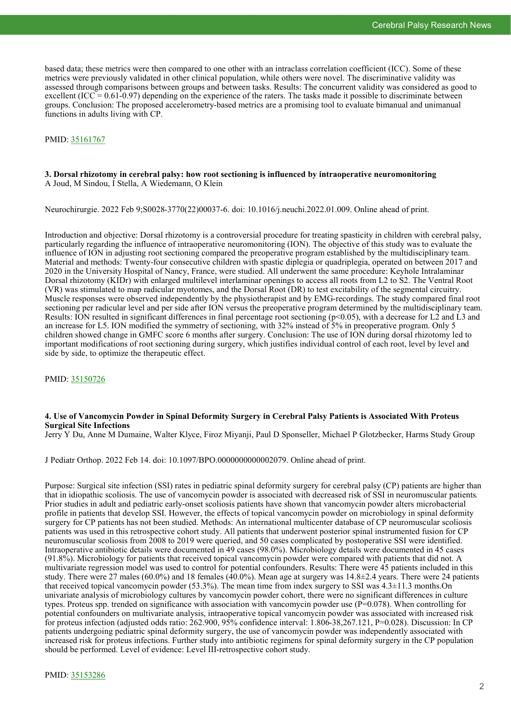based data; these metrics were then compared to one other with an intraclass correlation coefficient (ICC). Some of these metrics were previously validated in other clinical population, while others were novel. The discriminative validity was assessed through comparisons between groups and between tasks. Results: The concurrent validity was considered as good to excellent (ICC =  $0.61-0.97$ ) depending on the experience of the raters. The tasks made it possible to discriminate between groups. Conclusion: The proposed accelerometry-based metrics are a promising tool to evaluate bimanual and unimanual functions in adults living with CP.

#### PMID: [35161767](https://pubmed.ncbi.nlm.nih.gov/35161767)

#### **3. Dorsal rhizotomy in cerebral palsy: how root sectioning is influenced by intraoperative neuromonitoring** A Joud, M Sindou, I Stella, A Wiedemann, O Klein

Neurochirurgie. 2022 Feb 9;S0028-3770(22)00037-6. doi: 10.1016/j.neuchi.2022.01.009. Online ahead of print.

Introduction and objective: Dorsal rhizotomy is a controversial procedure for treating spasticity in children with cerebral palsy, particularly regarding the influence of intraoperative neuromonitoring (ION). The objective of this study was to evaluate the influence of ION in adjusting root sectioning compared the preoperative program established by the multidisciplinary team. Material and methods: Twenty-four consecutive children with spastic diplegia or quadriplegia, operated on between 2017 and 2020 in the University Hospital of Nancy, France, were studied. All underwent the same procedure: Keyhole Intralaminar Dorsal rhizotomy (KIDr) with enlarged multilevel interlaminar openings to access all roots from L2 to S2. The Ventral Root (VR) was stimulated to map radicular myotomes, and the Dorsal Root (DR) to test excitability of the segmental circuitry. Muscle responses were observed independently by the physiotherapist and by EMG-recordings. The study compared final root sectioning per radicular level and per side after ION versus the preoperative program determined by the multidisciplinary team. Results: ION resulted in significant differences in final percentage root sectioning ( $p<0.05$ ), with a decrease for L2 and L3 and an increase for L5. ION modified the symmetry of sectioning, with 32% instead of 5% in preoperative program. Only 5 children showed change in GMFC score 6 months after surgery. Conclusion: The use of ION during dorsal rhizotomy led to important modifications of root sectioning during surgery, which justifies individual control of each root, level by level and side by side, to optimize the therapeutic effect.

PMID: [35150726](https://pubmed.ncbi.nlm.nih.gov/35150726)

#### **4. Use of Vancomycin Powder in Spinal Deformity Surgery in Cerebral Palsy Patients is Associated With Proteus Surgical Site Infections**

Jerry Y Du, Anne M Dumaine, Walter Klyce, Firoz Miyanji, Paul D Sponseller, Michael P Glotzbecker, Harms Study Group

J Pediatr Orthop. 2022 Feb 14. doi: 10.1097/BPO.0000000000002079. Online ahead of print.

Purpose: Surgical site infection (SSI) rates in pediatric spinal deformity surgery for cerebral palsy (CP) patients are higher than that in idiopathic scoliosis. The use of vancomycin powder is associated with decreased risk of SSI in neuromuscular patients. Prior studies in adult and pediatric early-onset scoliosis patients have shown that vancomycin powder alters microbacterial profile in patients that develop SSI. However, the effects of topical vancomycin powder on microbiology in spinal deformity surgery for CP patients has not been studied. Methods: An international multicenter database of CP neuromuscular scoliosis patients was used in this retrospective cohort study. All patients that underwent posterior spinal instrumented fusion for CP neuromuscular scoliosis from 2008 to 2019 were queried, and 50 cases complicated by postoperative SSI were identified. Intraoperative antibiotic details were documented in 49 cases (98.0%). Microbiology details were documented in 45 cases (91.8%). Microbiology for patients that received topical vancomycin powder were compared with patients that did not. A multivariate regression model was used to control for potential confounders. Results: There were 45 patients included in this study. There were 27 males (60.0%) and 18 females (40.0%). Mean age at surgery was  $14.8\pm 2.4$  years. There were 24 patients that received topical vancomycin powder (53.3%). The mean time from index surgery to SSI was 4.3±11.3 months.On univariate analysis of microbiology cultures by vancomycin powder cohort, there were no significant differences in culture types. Proteus spp. trended on significance with association with vancomycin powder use (P=0.078). When controlling for potential confounders on multivariate analysis, intraoperative topical vancomycin powder was associated with increased risk for proteus infection (adjusted odds ratio: 262.900, 95% confidence interval: 1.806-38,267.121, P=0.028). Discussion: In CP patients undergoing pediatric spinal deformity surgery, the use of vancomycin powder was independently associated with increased risk for proteus infections. Further study into antibiotic regimens for spinal deformity surgery in the CP population should be performed. Level of evidence: Level III-retrospective cohort study.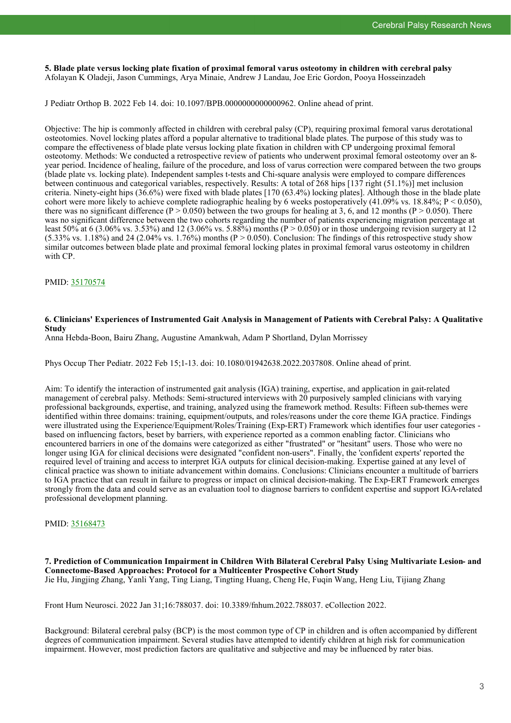**5. Blade plate versus locking plate fixation of proximal femoral varus osteotomy in children with cerebral palsy** Afolayan K Oladeji, Jason Cummings, Arya Minaie, Andrew J Landau, Joe Eric Gordon, Pooya Hosseinzadeh

J Pediatr Orthop B. 2022 Feb 14. doi: 10.1097/BPB.0000000000000962. Online ahead of print.

Objective: The hip is commonly affected in children with cerebral palsy (CP), requiring proximal femoral varus derotational osteotomies. Novel locking plates afford a popular alternative to traditional blade plates. The purpose of this study was to compare the effectiveness of blade plate versus locking plate fixation in children with CP undergoing proximal femoral osteotomy. Methods: We conducted a retrospective review of patients who underwent proximal femoral osteotomy over an 8 year period. Incidence of healing, failure of the procedure, and loss of varus correction were compared between the two groups (blade plate vs. locking plate). Independent samples t-tests and Chi-square analysis were employed to compare differences between continuous and categorical variables, respectively. Results: A total of 268 hips [137 right (51.1%)] met inclusion criteria. Ninety-eight hips  $(36.6\%)$  were fixed with blade plates [170  $(63.4\%)$  locking plates]. Although those in the blade plate cohort were more likely to achieve complete radiographic healing by 6 weeks postoperatively  $(41.09\%$  vs.  $18.84\%$ ;  $P < 0.050$ ), there was no significant difference ( $P > 0.050$ ) between the two groups for healing at 3, 6, and 12 months ( $P > 0.050$ ). There was no significant difference between the two cohorts regarding the number of patients experiencing migration percentage at least 50% at 6 (3.06% vs. 3.53%) and 12 (3.06% vs. 5.88%) months (P > 0.050) or in those undergoing revision surgery at 12  $(5.33\% \text{ vs. } 1.18\%)$  and 24 (2.04% vs. 1.76%) months (P > 0.050). Conclusion: The findings of this retrospective study show similar outcomes between blade plate and proximal femoral locking plates in proximal femoral varus osteotomy in children with CP.

PMID: [35170574](https://pubmed.ncbi.nlm.nih.gov/35170574)

#### **6. Clinicians' Experiences of Instrumented Gait Analysis in Management of Patients with Cerebral Palsy: A Qualitative Study**

Anna Hebda-Boon, Bairu Zhang, Augustine Amankwah, Adam P Shortland, Dylan Morrissey

Phys Occup Ther Pediatr. 2022 Feb 15;1-13. doi: 10.1080/01942638.2022.2037808. Online ahead of print.

Aim: To identify the interaction of instrumented gait analysis (IGA) training, expertise, and application in gait-related management of cerebral palsy. Methods: Semi-structured interviews with 20 purposively sampled clinicians with varying professional backgrounds, expertise, and training, analyzed using the framework method. Results: Fifteen sub-themes were identified within three domains: training, equipment/outputs, and roles/reasons under the core theme IGA practice. Findings were illustrated using the Experience/Equipment/Roles/Training (Exp-ERT) Framework which identifies four user categories based on influencing factors, beset by barriers, with experience reported as a common enabling factor. Clinicians who encountered barriers in one of the domains were categorized as either "frustrated" or "hesitant" users. Those who were no longer using IGA for clinical decisions were designated "confident non-users". Finally, the 'confident experts' reported the required level of training and access to interpret IGA outputs for clinical decision-making. Expertise gained at any level of clinical practice was shown to initiate advancement within domains. Conclusions: Clinicians encounter a multitude of barriers to IGA practice that can result in failure to progress or impact on clinical decision-making. The Exp-ERT Framework emerges strongly from the data and could serve as an evaluation tool to diagnose barriers to confident expertise and support IGA-related professional development planning.

#### PMID: [35168473](https://pubmed.ncbi.nlm.nih.gov/35168473)

**7. Prediction of Communication Impairment in Children With Bilateral Cerebral Palsy Using Multivariate Lesion- and Connectome-Based Approaches: Protocol for a Multicenter Prospective Cohort Study** Jie Hu, Jingjing Zhang, Yanli Yang, Ting Liang, Tingting Huang, Cheng He, Fuqin Wang, Heng Liu, Tijiang Zhang

Front Hum Neurosci. 2022 Jan 31;16:788037. doi: 10.3389/fnhum.2022.788037. eCollection 2022.

Background: Bilateral cerebral palsy (BCP) is the most common type of CP in children and is often accompanied by different degrees of communication impairment. Several studies have attempted to identify children at high risk for communication impairment. However, most prediction factors are qualitative and subjective and may be influenced by rater bias.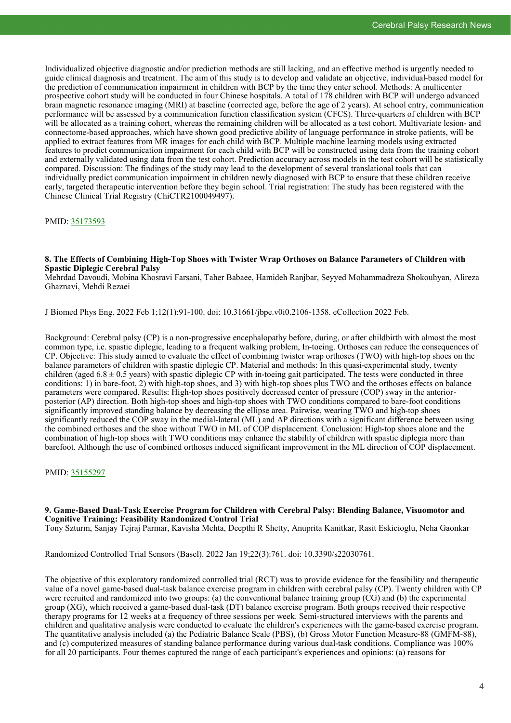Individualized objective diagnostic and/or prediction methods are still lacking, and an effective method is urgently needed to guide clinical diagnosis and treatment. The aim of this study is to develop and validate an objective, individual-based model for the prediction of communication impairment in children with BCP by the time they enter school. Methods: A multicenter prospective cohort study will be conducted in four Chinese hospitals. A total of 178 children with BCP will undergo advanced brain magnetic resonance imaging (MRI) at baseline (corrected age, before the age of 2 years). At school entry, communication performance will be assessed by a communication function classification system (CFCS). Three-quarters of children with BCP will be allocated as a training cohort, whereas the remaining children will be allocated as a test cohort. Multivariate lesion- and connectome-based approaches, which have shown good predictive ability of language performance in stroke patients, will be applied to extract features from MR images for each child with BCP. Multiple machine learning models using extracted features to predict communication impairment for each child with BCP will be constructed using data from the training cohort and externally validated using data from the test cohort. Prediction accuracy across models in the test cohort will be statistically compared. Discussion: The findings of the study may lead to the development of several translational tools that can individually predict communication impairment in children newly diagnosed with BCP to ensure that these children receive early, targeted therapeutic intervention before they begin school. Trial registration: The study has been registered with the Chinese Clinical Trial Registry (ChiCTR2100049497).

PMID: [35173593](https://pubmed.ncbi.nlm.nih.gov/35173593)

#### **8. The Effects of Combining High-Top Shoes with Twister Wrap Orthoses on Balance Parameters of Children with Spastic Diplegic Cerebral Palsy**

Mehrdad Davoudi, Mobina Khosravi Farsani, Taher Babaee, Hamideh Ranjbar, Seyyed Mohammadreza Shokouhyan, Alireza Ghaznavi, Mehdi Rezaei

J Biomed Phys Eng. 2022 Feb 1;12(1):91-100. doi: 10.31661/jbpe.v0i0.2106-1358. eCollection 2022 Feb.

Background: Cerebral palsy (CP) is a non-progressive encephalopathy before, during, or after childbirth with almost the most common type, i.e. spastic diplegic, leading to a frequent walking problem, In-toeing. Orthoses can reduce the consequences of CP. Objective: This study aimed to evaluate the effect of combining twister wrap orthoses (TWO) with high-top shoes on the balance parameters of children with spastic diplegic CP. Material and methods: In this quasi-experimental study, twenty children (aged  $6.8 \pm 0.5$  years) with spastic diplegic CP with in-toeing gait participated. The tests were conducted in three conditions: 1) in bare-foot, 2) with high-top shoes, and 3) with high-top shoes plus TWO and the orthoses effects on balance parameters were compared. Results: High-top shoes positively decreased center of pressure (COP) sway in the anteriorposterior (AP) direction. Both high-top shoes and high-top shoes with TWO conditions compared to bare-foot conditions significantly improved standing balance by decreasing the ellipse area. Pairwise, wearing TWO and high-top shoes significantly reduced the COP sway in the medial-lateral (ML) and AP directions with a significant difference between using the combined orthoses and the shoe without TWO in ML of COP displacement. Conclusion: High-top shoes alone and the combination of high-top shoes with TWO conditions may enhance the stability of children with spastic diplegia more than barefoot. Although the use of combined orthoses induced significant improvement in the ML direction of COP displacement.

PMID: [35155297](https://pubmed.ncbi.nlm.nih.gov/35155297)

#### **9. Game-Based Dual-Task Exercise Program for Children with Cerebral Palsy: Blending Balance, Visuomotor and Cognitive Training: Feasibility Randomized Control Trial**

Tony Szturm, Sanjay Tejraj Parmar, Kavisha Mehta, Deepthi R Shetty, Anuprita Kanitkar, Rasit Eskicioglu, Neha Gaonkar

Randomized Controlled Trial Sensors (Basel). 2022 Jan 19;22(3):761. doi: 10.3390/s22030761.

The objective of this exploratory randomized controlled trial (RCT) was to provide evidence for the feasibility and therapeutic value of a novel game-based dual-task balance exercise program in children with cerebral palsy (CP). Twenty children with CP were recruited and randomized into two groups: (a) the conventional balance training group (CG) and (b) the experimental group (XG), which received a game-based dual-task (DT) balance exercise program. Both groups received their respective therapy programs for 12 weeks at a frequency of three sessions per week. Semi-structured interviews with the parents and children and qualitative analysis were conducted to evaluate the children's experiences with the game-based exercise program. The quantitative analysis included (a) the Pediatric Balance Scale (PBS), (b) Gross Motor Function Measure-88 (GMFM-88), and (c) computerized measures of standing balance performance during various dual-task conditions. Compliance was 100% for all 20 participants. Four themes captured the range of each participant's experiences and opinions: (a) reasons for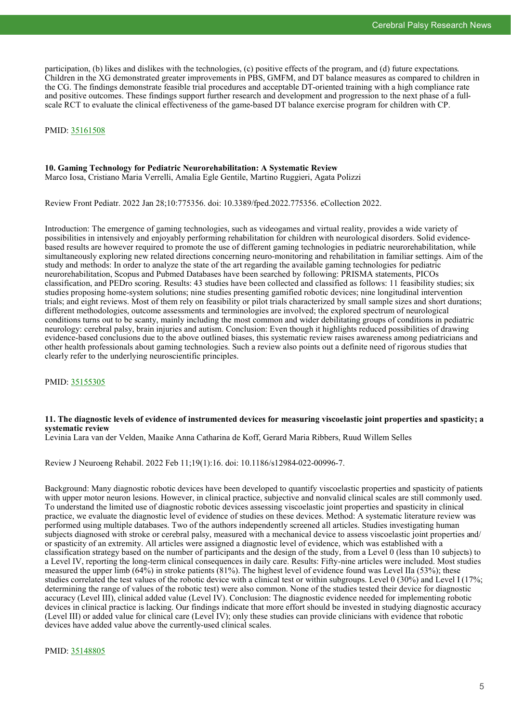participation, (b) likes and dislikes with the technologies, (c) positive effects of the program, and (d) future expectations. Children in the XG demonstrated greater improvements in PBS, GMFM, and DT balance measures as compared to children in the CG. The findings demonstrate feasible trial procedures and acceptable DT-oriented training with a high compliance rate and positive outcomes. These findings support further research and development and progression to the next phase of a fullscale RCT to evaluate the clinical effectiveness of the game-based DT balance exercise program for children with CP.

#### PMID: [35161508](https://pubmed.ncbi.nlm.nih.gov/35161508)

#### **10. Gaming Technology for Pediatric Neurorehabilitation: A Systematic Review** Marco Iosa, Cristiano Maria Verrelli, Amalia Egle Gentile, Martino Ruggieri, Agata Polizzi

Review Front Pediatr. 2022 Jan 28;10:775356. doi: 10.3389/fped.2022.775356. eCollection 2022.

Introduction: The emergence of gaming technologies, such as videogames and virtual reality, provides a wide variety of possibilities in intensively and enjoyably performing rehabilitation for children with neurological disorders. Solid evidencebased results are however required to promote the use of different gaming technologies in pediatric neurorehabilitation, while simultaneously exploring new related directions concerning neuro-monitoring and rehabilitation in familiar settings. Aim of the study and methods: In order to analyze the state of the art regarding the available gaming technologies for pediatric neurorehabilitation, Scopus and Pubmed Databases have been searched by following: PRISMA statements, PICOs classification, and PEDro scoring. Results: 43 studies have been collected and classified as follows: 11 feasibility studies; six studies proposing home-system solutions; nine studies presenting gamified robotic devices; nine longitudinal intervention trials; and eight reviews. Most of them rely on feasibility or pilot trials characterized by small sample sizes and short durations; different methodologies, outcome assessments and terminologies are involved; the explored spectrum of neurological conditions turns out to be scanty, mainly including the most common and wider debilitating groups of conditions in pediatric neurology: cerebral palsy, brain injuries and autism. Conclusion: Even though it highlights reduced possibilities of drawing evidence-based conclusions due to the above outlined biases, this systematic review raises awareness among pediatricians and other health professionals about gaming technologies. Such a review also points out a definite need of rigorous studies that clearly refer to the underlying neuroscientific principles.

PMID: [35155305](https://pubmed.ncbi.nlm.nih.gov/35155305)

#### **11. The diagnostic levels of evidence of instrumented devices for measuring viscoelastic joint properties and spasticity; a systematic review**

Levinia Lara van der Velden, Maaike Anna Catharina de Koff, Gerard Maria Ribbers, Ruud Willem Selles

Review J Neuroeng Rehabil. 2022 Feb 11;19(1):16. doi: 10.1186/s12984-022-00996-7.

Background: Many diagnostic robotic devices have been developed to quantify viscoelastic properties and spasticity of patients with upper motor neuron lesions. However, in clinical practice, subjective and nonvalid clinical scales are still commonly used. To understand the limited use of diagnostic robotic devices assessing viscoelastic joint properties and spasticity in clinical practice, we evaluate the diagnostic level of evidence of studies on these devices. Method: A systematic literature review was performed using multiple databases. Two of the authors independently screened all articles. Studies investigating human subjects diagnosed with stroke or cerebral palsy, measured with a mechanical device to assess viscoelastic joint properties and/ or spasticity of an extremity. All articles were assigned a diagnostic level of evidence, which was established with a classification strategy based on the number of participants and the design of the study, from a Level 0 (less than 10 subjects) to a Level IV, reporting the long-term clinical consequences in daily care. Results: Fifty-nine articles were included. Most studies measured the upper limb (64%) in stroke patients (81%). The highest level of evidence found was Level IIa (53%); these studies correlated the test values of the robotic device with a clinical test or within subgroups. Level 0 (30%) and Level I (17%; determining the range of values of the robotic test) were also common. None of the studies tested their device for diagnostic accuracy (Level III), clinical added value (Level IV). Conclusion: The diagnostic evidence needed for implementing robotic devices in clinical practice is lacking. Our findings indicate that more effort should be invested in studying diagnostic accuracy (Level III) or added value for clinical care (Level IV); only these studies can provide clinicians with evidence that robotic devices have added value above the currently-used clinical scales.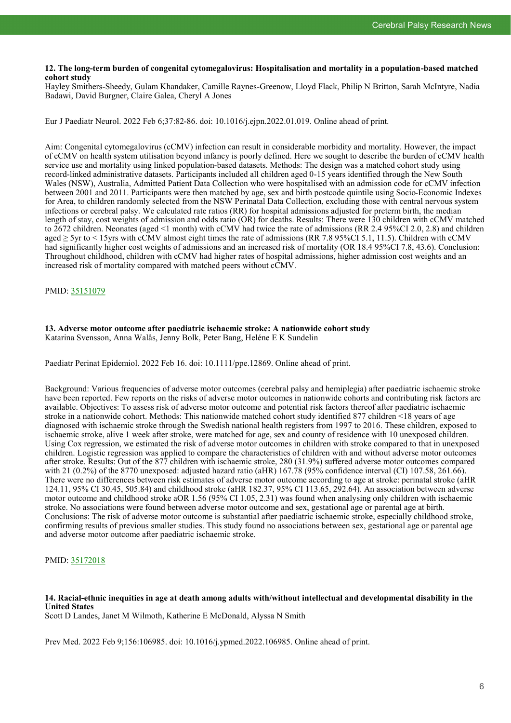#### **12. The long-term burden of congenital cytomegalovirus: Hospitalisation and mortality in a population-based matched cohort study**

Hayley Smithers-Sheedy, Gulam Khandaker, Camille Raynes-Greenow, Lloyd Flack, Philip N Britton, Sarah McIntyre, Nadia Badawi, David Burgner, Claire Galea, Cheryl A Jones

Eur J Paediatr Neurol. 2022 Feb 6;37:82-86. doi: 10.1016/j.ejpn.2022.01.019. Online ahead of print.

Aim: Congenital cytomegalovirus (cCMV) infection can result in considerable morbidity and mortality. However, the impact of cCMV on health system utilisation beyond infancy is poorly defined. Here we sought to describe the burden of cCMV health service use and mortality using linked population-based datasets. Methods: The design was a matched cohort study using record-linked administrative datasets. Participants included all children aged 0-15 years identified through the New South Wales (NSW), Australia, Admitted Patient Data Collection who were hospitalised with an admission code for cCMV infection between 2001 and 2011. Participants were then matched by age, sex and birth postcode quintile using Socio-Economic Indexes for Area, to children randomly selected from the NSW Perinatal Data Collection, excluding those with central nervous system infections or cerebral palsy. We calculated rate ratios (RR) for hospital admissions adjusted for preterm birth, the median length of stay, cost weights of admission and odds ratio (OR) for deaths. Results: There were 130 children with cCMV matched to 2672 children. Neonates (aged <1 month) with cCMV had twice the rate of admissions (RR 2.4 95%CI 2.0, 2.8) and children aged  $\geq$  5yr to  $\leq$  15yrs with cCMV almost eight times the rate of admissions (RR 7.8 95%CI 5.1, 11.5). Children with cCMV had significantly higher cost weights of admissions and an increased risk of mortality (OR 18.4 95%CI 7.8, 43.6). Conclusion: Throughout childhood, children with cCMV had higher rates of hospital admissions, higher admission cost weights and an increased risk of mortality compared with matched peers without cCMV.

#### PMID: [35151079](https://pubmed.ncbi.nlm.nih.gov/35151079)

## **13. Adverse motor outcome after paediatric ischaemic stroke: A nationwide cohort study**

Katarina Svensson, Anna Walås, Jenny Bolk, Peter Bang, Heléne E K Sundelin

Paediatr Perinat Epidemiol. 2022 Feb 16. doi: 10.1111/ppe.12869. Online ahead of print.

Background: Various frequencies of adverse motor outcomes (cerebral palsy and hemiplegia) after paediatric ischaemic stroke have been reported. Few reports on the risks of adverse motor outcomes in nationwide cohorts and contributing risk factors are available. Objectives: To assess risk of adverse motor outcome and potential risk factors thereof after paediatric ischaemic stroke in a nationwide cohort. Methods: This nationwide matched cohort study identified 877 children <18 years of age diagnosed with ischaemic stroke through the Swedish national health registers from 1997 to 2016. These children, exposed to ischaemic stroke, alive 1 week after stroke, were matched for age, sex and county of residence with 10 unexposed children. Using Cox regression, we estimated the risk of adverse motor outcomes in children with stroke compared to that in unexposed children. Logistic regression was applied to compare the characteristics of children with and without adverse motor outcomes after stroke. Results: Out of the 877 children with ischaemic stroke, 280 (31.9%) suffered adverse motor outcomes compared with 21 (0.2%) of the 8770 unexposed: adjusted hazard ratio (aHR) 167.78 (95% confidence interval (CI) 107.58, 261.66). There were no differences between risk estimates of adverse motor outcome according to age at stroke: perinatal stroke (aHR 124.11, 95% CI 30.45, 505.84) and childhood stroke (aHR 182.37, 95% CI 113.65, 292.64). An association between adverse motor outcome and childhood stroke aOR 1.56 (95% CI 1.05, 2.31) was found when analysing only children with ischaemic stroke. No associations were found between adverse motor outcome and sex, gestational age or parental age at birth. Conclusions: The risk of adverse motor outcome is substantial after paediatric ischaemic stroke, especially childhood stroke, confirming results of previous smaller studies. This study found no associations between sex, gestational age or parental age and adverse motor outcome after paediatric ischaemic stroke.

#### PMID: [35172018](https://pubmed.ncbi.nlm.nih.gov/35172018)

#### **14. Racial-ethnic inequities in age at death among adults with/without intellectual and developmental disability in the United States** Scott D Landes, Janet M Wilmoth, Katherine E McDonald, Alyssa N Smith

Prev Med. 2022 Feb 9;156:106985. doi: 10.1016/j.ypmed.2022.106985. Online ahead of print.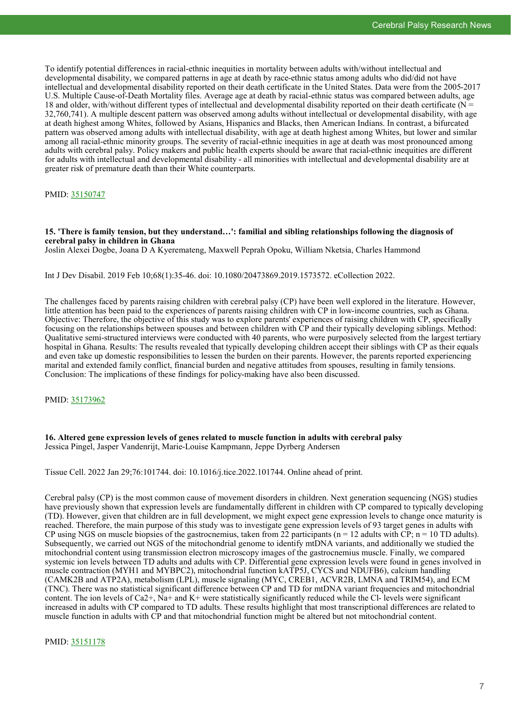To identify potential differences in racial-ethnic inequities in mortality between adults with/without intellectual and developmental disability, we compared patterns in age at death by race-ethnic status among adults who did/did not have intellectual and developmental disability reported on their death certificate in the United States. Data were from the 2005-2017 U.S. Multiple Cause-of-Death Mortality files. Average age at death by racial-ethnic status was compared between adults, age 18 and older, with/without different types of intellectual and developmental disability reported on their death certificate ( $N =$ 32,760,741). A multiple descent pattern was observed among adults without intellectual or developmental disability, with age at death highest among Whites, followed by Asians, Hispanics and Blacks, then American Indians. In contrast, a bifurcated pattern was observed among adults with intellectual disability, with age at death highest among Whites, but lower and similar among all racial-ethnic minority groups. The severity of racial-ethnic inequities in age at death was most pronounced among adults with cerebral palsy. Policy makers and public health experts should be aware that racial-ethnic inequities are different for adults with intellectual and developmental disability - all minorities with intellectual and developmental disability are at greater risk of premature death than their White counterparts.

PMID: [35150747](https://pubmed.ncbi.nlm.nih.gov/35150747)

**15. 'There is family tension, but they understand…': familial and sibling relationships following the diagnosis of cerebral palsy in children in Ghana**

Joslin Alexei Dogbe, Joana D A Kyeremateng, Maxwell Peprah Opoku, William Nketsia, Charles Hammond

Int J Dev Disabil. 2019 Feb 10;68(1):35-46. doi: 10.1080/20473869.2019.1573572. eCollection 2022.

The challenges faced by parents raising children with cerebral palsy (CP) have been well explored in the literature. However, little attention has been paid to the experiences of parents raising children with CP in low-income countries, such as Ghana. Objective: Therefore, the objective of this study was to explore parents' experiences of raising children with CP, specifically focusing on the relationships between spouses and between children with CP and their typically developing siblings. Method: Qualitative semi-structured interviews were conducted with 40 parents, who were purposively selected from the largest tertiary hospital in Ghana. Results: The results revealed that typically developing children accept their siblings with CP as their equals and even take up domestic responsibilities to lessen the burden on their parents. However, the parents reported experiencing marital and extended family conflict, financial burden and negative attitudes from spouses, resulting in family tensions. Conclusion: The implications of these findings for policy-making have also been discussed.

PMID: [35173962](https://pubmed.ncbi.nlm.nih.gov/35173962)

**16. Altered gene expression levels of genes related to muscle function in adults with cerebral palsy** Jessica Pingel, Jasper Vandenrijt, Marie-Louise Kampmann, Jeppe Dyrberg Andersen

Tissue Cell. 2022 Jan 29;76:101744. doi: 10.1016/j.tice.2022.101744. Online ahead of print.

Cerebral palsy (CP) is the most common cause of movement disorders in children. Next generation sequencing (NGS) studies have previously shown that expression levels are fundamentally different in children with CP compared to typically developing (TD). However, given that children are in full development, we might expect gene expression levels to change once maturity is reached. Therefore, the main purpose of this study was to investigate gene expression levels of 93 target genes in adults with CP using NGS on muscle biopsies of the gastrocnemius, taken from 22 participants ( $n = 12$  adults with CP;  $n = 10$  TD adults). Subsequently, we carried out NGS of the mitochondrial genome to identify mtDNA variants, and additionally we studied the mitochondrial content using transmission electron microscopy images of the gastrocnemius muscle. Finally, we compared systemic ion levels between TD adults and adults with CP. Differential gene expression levels were found in genes involved in muscle contraction (MYH1 and MYBPC2), mitochondrial function kATP5J, CYCS and NDUFB6), calcium handling (CAMK2B and ATP2A), metabolism (LPL), muscle signaling (MYC, CREB1, ACVR2B, LMNA and TRIM54), and ECM (TNC). There was no statistical significant difference between CP and TD for mtDNA variant frequencies and mitochondrial content. The ion levels of Ca2+,  $\overline{Na}$ + and K+ were statistically significantly reduced while the Cl- levels were significant increased in adults with CP compared to TD adults. These results highlight that most transcriptional differences are related to muscle function in adults with CP and that mitochondrial function might be altered but not mitochondrial content.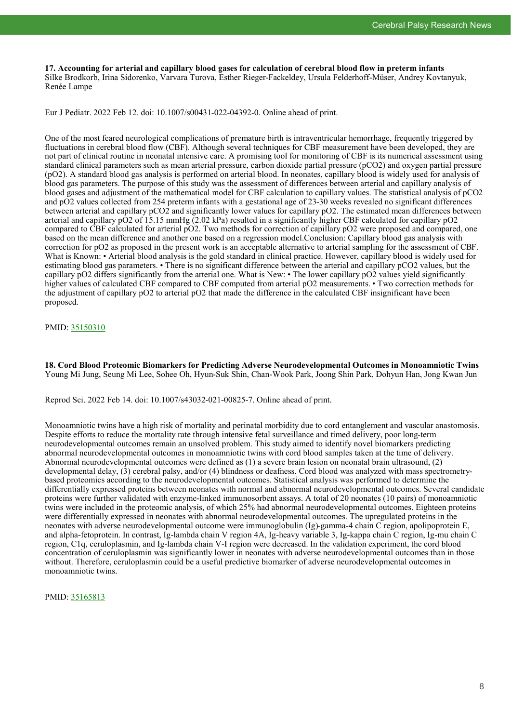**17. Accounting for arterial and capillary blood gases for calculation of cerebral blood flow in preterm infants** Silke Brodkorb, Irina Sidorenko, Varvara Turova, Esther Rieger-Fackeldey, Ursula Felderhoff-Müser, Andrey Kovtanyuk, Renée Lampe

Eur J Pediatr. 2022 Feb 12. doi: 10.1007/s00431-022-04392-0. Online ahead of print.

One of the most feared neurological complications of premature birth is intraventricular hemorrhage, frequently triggered by fluctuations in cerebral blood flow (CBF). Although several techniques for CBF measurement have been developed, they are not part of clinical routine in neonatal intensive care. A promising tool for monitoring of CBF is its numerical assessment using standard clinical parameters such as mean arterial pressure, carbon dioxide partial pressure (pCO2) and oxygen partial pressure (pO2). A standard blood gas analysis is performed on arterial blood. In neonates, capillary blood is widely used for analysis of blood gas parameters. The purpose of this study was the assessment of differences between arterial and capillary analysis of blood gases and adjustment of the mathematical model for CBF calculation to capillary values. The statistical analysis of pCO2 and pO2 values collected from 254 preterm infants with a gestational age of 23-30 weeks revealed no significant differences between arterial and capillary pCO2 and significantly lower values for capillary pO2. The estimated mean differences between arterial and capillary pO2 of 15.15 mmHg (2.02 kPa) resulted in a significantly higher CBF calculated for capillary pO2 compared to CBF calculated for arterial pO2. Two methods for correction of capillary pO2 were proposed and compared, one based on the mean difference and another one based on a regression model.Conclusion: Capillary blood gas analysis with correction for pO2 as proposed in the present work is an acceptable alternative to arterial sampling for the assessment of CBF. What is Known: • Arterial blood analysis is the gold standard in clinical practice. However, capillary blood is widely used for estimating blood gas parameters. • There is no significant difference between the arterial and capillary pCO2 values, but the capillary pO2 differs significantly from the arterial one. What is New: • The lower capillary pO2 values yield significantly higher values of calculated CBF compared to CBF computed from arterial pO2 measurements. • Two correction methods for the adjustment of capillary pO2 to arterial pO2 that made the difference in the calculated CBF insignificant have been proposed.

PMID: [35150310](https://pubmed.ncbi.nlm.nih.gov/35150310)

**18. Cord Blood Proteomic Biomarkers for Predicting Adverse Neurodevelopmental Outcomes in Monoamniotic Twins** Young Mi Jung, Seung Mi Lee, Sohee Oh, Hyun-Suk Shin, Chan-Wook Park, Joong Shin Park, Dohyun Han, Jong Kwan Jun

Reprod Sci. 2022 Feb 14. doi: 10.1007/s43032-021-00825-7. Online ahead of print.

Monoamniotic twins have a high risk of mortality and perinatal morbidity due to cord entanglement and vascular anastomosis. Despite efforts to reduce the mortality rate through intensive fetal surveillance and timed delivery, poor long-term neurodevelopmental outcomes remain an unsolved problem. This study aimed to identify novel biomarkers predicting abnormal neurodevelopmental outcomes in monoamniotic twins with cord blood samples taken at the time of delivery. Abnormal neurodevelopmental outcomes were defined as (1) a severe brain lesion on neonatal brain ultrasound, (2) developmental delay, (3) cerebral palsy, and/or (4) blindness or deafness. Cord blood was analyzed with mass spectrometrybased proteomics according to the neurodevelopmental outcomes. Statistical analysis was performed to determine the differentially expressed proteins between neonates with normal and abnormal neurodevelopmental outcomes. Several candidate proteins were further validated with enzyme-linked immunosorbent assays. A total of 20 neonates (10 pairs) of monoamniotic twins were included in the proteomic analysis, of which 25% had abnormal neurodevelopmental outcomes. Eighteen proteins were differentially expressed in neonates with abnormal neurodevelopmental outcomes. The upregulated proteins in the neonates with adverse neurodevelopmental outcome were immunoglobulin (Ig)-gamma-4 chain C region, apolipoprotein E, and alpha-fetoprotein. In contrast, Ig-lambda chain V region 4A, Ig-heavy variable 3, Ig-kappa chain C region, Ig-mu chain C region, C1q, ceruloplasmin, and Ig-lambda chain V-I region were decreased. In the validation experiment, the cord blood concentration of ceruloplasmin was significantly lower in neonates with adverse neurodevelopmental outcomes than in those without. Therefore, ceruloplasmin could be a useful predictive biomarker of adverse neurodevelopmental outcomes in monoamniotic twins.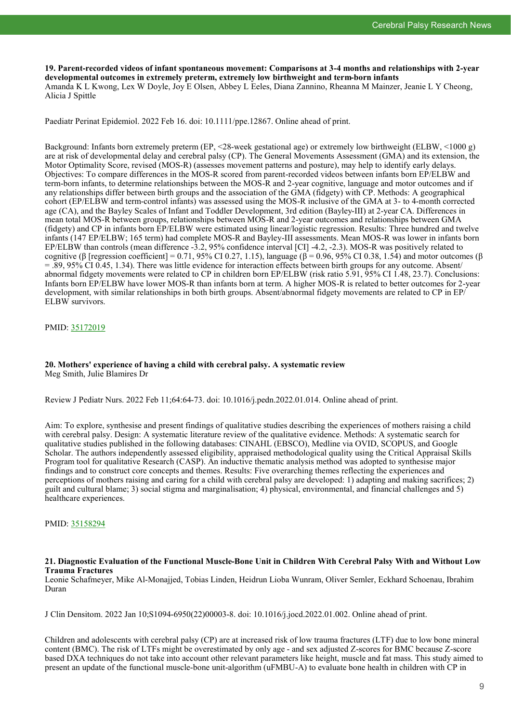**19. Parent-recorded videos of infant spontaneous movement: Comparisons at 3-4 months and relationships with 2-year developmental outcomes in extremely preterm, extremely low birthweight and term-born infants** Amanda K L Kwong, Lex W Doyle, Joy E Olsen, Abbey L Eeles, Diana Zannino, Rheanna M Mainzer, Jeanie L Y Cheong, Alicia J Spittle

Paediatr Perinat Epidemiol. 2022 Feb 16. doi: 10.1111/ppe.12867. Online ahead of print.

Background: Infants born extremely preterm (EP, <28-week gestational age) or extremely low birthweight (ELBW, <1000 g) are at risk of developmental delay and cerebral palsy (CP). The General Movements Assessment (GMA) and its extension, the Motor Optimality Score, revised (MOS-R) (assesses movement patterns and posture), may help to identify early delays. Objectives: To compare differences in the MOS-R scored from parent-recorded videos between infants born EP/ELBW and term-born infants, to determine relationships between the MOS-R and 2-year cognitive, language and motor outcomes and if any relationships differ between birth groups and the association of the GMA (fidgety) with CP. Methods: A geographical cohort (EP/ELBW and term-control infants) was assessed using the MOS-R inclusive of the GMA at 3- to 4-month corrected age (CA), and the Bayley Scales of Infant and Toddler Development, 3rd edition (Bayley-III) at 2-year CA. Differences in mean total MOS-R between groups, relationships between MOS-R and 2-year outcomes and relationships between GMA (fidgety) and CP in infants born EP/ELBW were estimated using linear/logistic regression. Results: Three hundred and twelve infants (147 EP/ELBW; 165 term) had complete MOS-R and Bayley-III assessments. Mean MOS-R was lower in infants born EP/ELBW than controls (mean difference -3.2, 95% confidence interval [CI] -4.2, -2.3). MOS-R was positively related to cognitive (β [regression coefficient] = 0.71, 95% CI 0.27, 1.15), language ( $β = 0.96$ , 95% CI 0.38, 1.54) and motor outcomes (β  $= 0.89, 95\%$  CI 0.45, 1.34). There was little evidence for interaction effects between birth groups for any outcome. Absent/ abnormal fidgety movements were related to CP in children born EP/ELBW (risk ratio 5.91, 95% CI 1.48, 23.7). Conclusions: Infants born EP/ELBW have lower MOS-R than infants born at term. A higher MOS-R is related to better outcomes for 2-year development, with similar relationships in both birth groups. Absent/abnormal fidgety movements are related to CP in EP/ ELBW survivors.

PMID: [35172019](https://pubmed.ncbi.nlm.nih.gov/35172019)

#### **20. Mothers' experience of having a child with cerebral palsy. A systematic review** Meg Smith, Julie Blamires Dr

Review J Pediatr Nurs. 2022 Feb 11;64:64-73. doi: 10.1016/j.pedn.2022.01.014. Online ahead of print.

Aim: To explore, synthesise and present findings of qualitative studies describing the experiences of mothers raising a child with cerebral palsy. Design: A systematic literature review of the qualitative evidence. Methods: A systematic search for qualitative studies published in the following databases: CINAHL (EBSCO), Medline via OVID, SCOPUS, and Google Scholar. The authors independently assessed eligibility, appraised methodological quality using the Critical Appraisal Skills Program tool for qualitative Research (CASP). An inductive thematic analysis method was adopted to synthesise major findings and to construct core concepts and themes. Results: Five overarching themes reflecting the experiences and perceptions of mothers raising and caring for a child with cerebral palsy are developed: 1) adapting and making sacrifices; 2) guilt and cultural blame; 3) social stigma and marginalisation; 4) physical, environmental, and financial challenges and 5) healthcare experiences.

PMID: [35158294](https://pubmed.ncbi.nlm.nih.gov/35158294)

#### **21. Diagnostic Evaluation of the Functional Muscle-Bone Unit in Children With Cerebral Palsy With and Without Low Trauma Fractures**

Leonie Schafmeyer, Mike Al-Monajjed, Tobias Linden, Heidrun Lioba Wunram, Oliver Semler, Eckhard Schoenau, Ibrahim Duran

J Clin Densitom. 2022 Jan 10;S1094-6950(22)00003-8. doi: 10.1016/j.jocd.2022.01.002. Online ahead of print.

Children and adolescents with cerebral palsy (CP) are at increased risk of low trauma fractures (LTF) due to low bone mineral content (BMC). The risk of LTFs might be overestimated by only age - and sex adjusted Z-scores for BMC because Z-score based DXA techniques do not take into account other relevant parameters like height, muscle and fat mass. This study aimed to present an update of the functional muscle-bone unit-algorithm (uFMBU-A) to evaluate bone health in children with CP in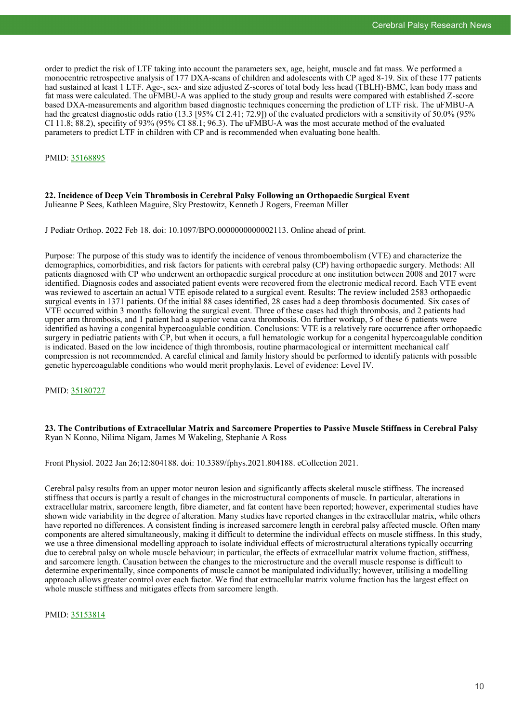order to predict the risk of LTF taking into account the parameters sex, age, height, muscle and fat mass. We performed a monocentric retrospective analysis of 177 DXA-scans of children and adolescents with CP aged 8-19. Six of these 177 patients had sustained at least 1 LTF. Age-, sex- and size adjusted Z-scores of total body less head (TBLH)-BMC, lean body mass and fat mass were calculated. The uFMBU-A was applied to the study group and results were compared with established Z-score based DXA-measurements and algorithm based diagnostic techniques concerning the prediction of LTF risk. The uFMBU-A had the greatest diagnostic odds ratio (13.3 [95% CI 2.41; 72.9]) of the evaluated predictors with a sensitivity of 50.0% (95% CI 11.8; 88.2), specifity of 93% (95% CI 88.1; 96.3). The uFMBU-A was the most accurate method of the evaluated parameters to predict LTF in children with CP and is recommended when evaluating bone health.

#### PMID: [35168895](https://pubmed.ncbi.nlm.nih.gov/35168895)

#### **22. Incidence of Deep Vein Thrombosis in Cerebral Palsy Following an Orthopaedic Surgical Event** Julieanne P Sees, Kathleen Maguire, Sky Prestowitz, Kenneth J Rogers, Freeman Miller

J Pediatr Orthop. 2022 Feb 18. doi: 10.1097/BPO.0000000000002113. Online ahead of print.

Purpose: The purpose of this study was to identify the incidence of venous thromboembolism (VTE) and characterize the demographics, comorbidities, and risk factors for patients with cerebral palsy (CP) having orthopaedic surgery. Methods: All patients diagnosed with CP who underwent an orthopaedic surgical procedure at one institution between 2008 and 2017 were identified. Diagnosis codes and associated patient events were recovered from the electronic medical record. Each VTE event was reviewed to ascertain an actual VTE episode related to a surgical event. Results: The review included 2583 orthopaedic surgical events in 1371 patients. Of the initial 88 cases identified, 28 cases had a deep thrombosis documented. Six cases of VTE occurred within 3 months following the surgical event. Three of these cases had thigh thrombosis, and 2 patients had upper arm thrombosis, and 1 patient had a superior vena cava thrombosis. On further workup, 5 of these 6 patients were identified as having a congenital hypercoagulable condition. Conclusions: VTE is a relatively rare occurrence after orthopaedic surgery in pediatric patients with CP, but when it occurs, a full hematologic workup for a congenital hypercoagulable condition is indicated. Based on the low incidence of thigh thrombosis, routine pharmacological or intermittent mechanical calf compression is not recommended. A careful clinical and family history should be performed to identify patients with possible genetic hypercoagulable conditions who would merit prophylaxis. Level of evidence: Level IV.

PMID: [35180727](https://pubmed.ncbi.nlm.nih.gov/35180727)

**23. The Contributions of Extracellular Matrix and Sarcomere Properties to Passive Muscle Stiffness in Cerebral Palsy** Ryan N Konno, Nilima Nigam, James M Wakeling, Stephanie A Ross

Front Physiol. 2022 Jan 26;12:804188. doi: 10.3389/fphys.2021.804188. eCollection 2021.

Cerebral palsy results from an upper motor neuron lesion and significantly affects skeletal muscle stiffness. The increased stiffness that occurs is partly a result of changes in the microstructural components of muscle. In particular, alterations in extracellular matrix, sarcomere length, fibre diameter, and fat content have been reported; however, experimental studies have shown wide variability in the degree of alteration. Many studies have reported changes in the extracellular matrix, while others have reported no differences. A consistent finding is increased sarcomere length in cerebral palsy affected muscle. Often many components are altered simultaneously, making it difficult to determine the individual effects on muscle stiffness. In this study, we use a three dimensional modelling approach to isolate individual effects of microstructural alterations typically occurring due to cerebral palsy on whole muscle behaviour; in particular, the effects of extracellular matrix volume fraction, stiffness, and sarcomere length. Causation between the changes to the microstructure and the overall muscle response is difficult to determine experimentally, since components of muscle cannot be manipulated individually; however, utilising a modelling approach allows greater control over each factor. We find that extracellular matrix volume fraction has the largest effect on whole muscle stiffness and mitigates effects from sarcomere length.